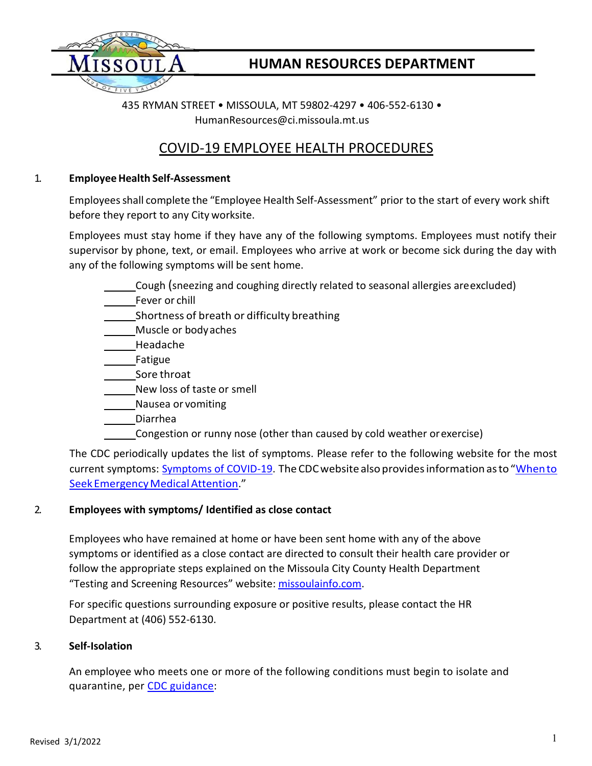

# **HUMAN RESOURCES DEPARTMENT**

435 RYMAN STREET • MISSOULA, MT 59802-4297 • 406-552-6130 • [HumanResources@ci.missoula.mt.us](mailto:HumanResources@ci.missoula.mt.us)

# COVID-19 EMPLOYEE HEALTH PROCEDURES

### 1. **EmployeeHealth Self-Assessment**

Employeesshall complete the "Employee Health Self-Assessment" prior to the start of every work shift before they report to any City worksite.

Employees must stay home if they have any of the following symptoms. Employees must notify their supervisor by phone, text, or email. Employees who arrive at work or become sick during the day with any of the following symptoms will be sent home.

- Cough (sneezing and coughing directly related to seasonal allergies areexcluded)
- Fever or chill
- **Shortness of breath or difficulty breathing**
- Muscle or bodyaches
- Headache
- Fatigue
- Sore throat
- New loss of taste or smell
- Nausea or vomiting
- Diarrhea
- Congestion or runny nose (other than caused by cold weather orexercise)

The CDC periodically updates the list of symptoms. Please refer to the following website for the most current symptoms: [Symptoms of COVID-19.](https://www.cdc.gov/coronavirus/2019-ncov/symptoms-testing/symptoms.html) The CDC website also provides information as to "When to Seek Emergency Medical Attention."

## 2. **Employees with symptoms/ Identified as close contact**

Employees who have remained at home or have been sent home with any of the above symptoms or identified as a close contact are directed to consult their health care provider or follow the appropriate steps explained on the Missoula City County Health Department "Testing and Screening Resources" website: [missoulainfo.com.](https://www.missoulainfo.com/)

For specific questions surrounding exposure or positive results, please contact the HR Department at (406) 552-6130.

### 3. **Self-Isolation**

An employee who meets one or more of the following conditions must begin to isolate and quarantine, per [CDC guidance:](https://www.cdc.gov/coronavirus/2019-ncov/your-health/quarantine-isolation.html)